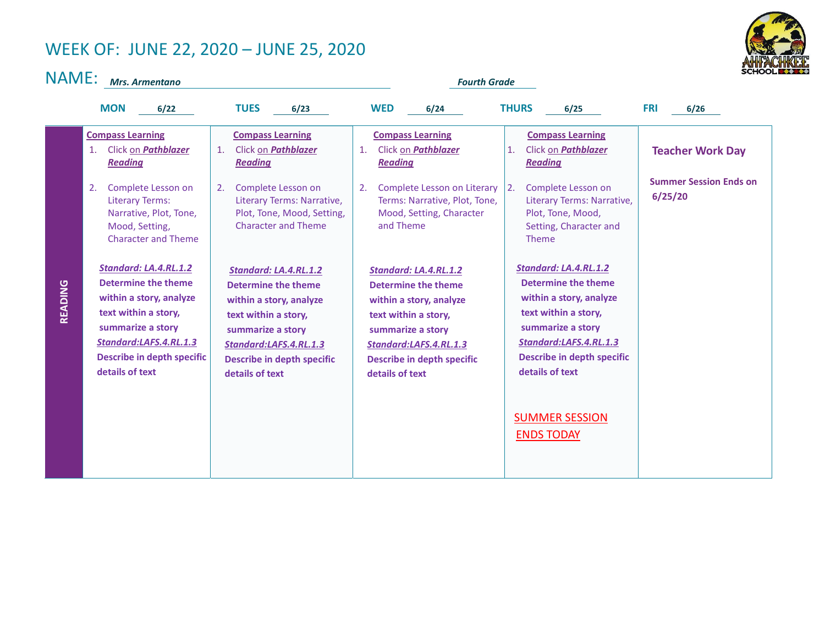## WEEK OF: JUNE 22, 2020 – JUNE 25, 2020



NAME: Mrs. Armentano

|  | <b>Fourth Grade</b> |  |
|--|---------------------|--|
|  |                     |  |

|         | <b>MON</b><br>6/22                                                                                                                                                                                                                                                                                                                                                                                                      | <b>TUES</b><br>6/23                                                                                                                                                                                             | <b>WED</b><br>6/24                                                                                                                                                                                            | <b>THURS</b><br>6/25                                                                                                                                                                                   | <b>FRI</b><br>6/26                                                  |
|---------|-------------------------------------------------------------------------------------------------------------------------------------------------------------------------------------------------------------------------------------------------------------------------------------------------------------------------------------------------------------------------------------------------------------------------|-----------------------------------------------------------------------------------------------------------------------------------------------------------------------------------------------------------------|---------------------------------------------------------------------------------------------------------------------------------------------------------------------------------------------------------------|--------------------------------------------------------------------------------------------------------------------------------------------------------------------------------------------------------|---------------------------------------------------------------------|
|         | <b>Compass Learning</b><br>Click on <b>Pathblazer</b><br>1.<br><b>Reading</b><br>Complete Lesson on<br>2.<br><b>Literary Terms:</b><br>Narrative, Plot, Tone,<br>Mood, Setting,<br><b>Character and Theme</b>                                                                                                                                                                                                           | <b>Compass Learning</b><br>Click on <b>Pathblazer</b><br>$\mathbf{1}$ .<br><b>Reading</b><br>Complete Lesson on<br>2.<br>Literary Terms: Narrative,<br>Plot, Tone, Mood, Setting,<br><b>Character and Theme</b> | <b>Compass Learning</b><br>Click on <b>Pathblazer</b><br>$\mathbf{1}$ .<br><b>Reading</b><br>Complete Lesson on Literary<br>2.<br>Terms: Narrative, Plot, Tone,<br>Mood, Setting, Character<br>and Theme      | <b>Compass Learning</b><br>Click on <b>Pathblazer</b><br>1.<br><b>Reading</b><br>2.<br>Complete Lesson on<br>Literary Terms: Narrative,<br>Plot, Tone, Mood,<br>Setting, Character and<br><b>Theme</b> | <b>Teacher Work Day</b><br><b>Summer Session Ends on</b><br>6/25/20 |
| READING | Standard: LA.4.RL.1.2<br>Standard: LA.4.RL.1.2<br>Determine the theme<br><b>Determine the theme</b><br>within a story, analyze<br>within a story, analyze<br>text within a story,<br>text within a story,<br>summarize a story<br>summarize a story<br>Standard:LAFS.4.RL.1.3<br>Standard:LAFS.4.RL.1.3<br><b>Describe in depth specific</b><br><b>Describe in depth specific</b><br>details of text<br>details of text |                                                                                                                                                                                                                 | Standard: LA.4.RL.1.2<br><b>Determine the theme</b><br>within a story, analyze<br>text within a story,<br>summarize a story<br>Standard:LAFS.4.RL.1.3<br><b>Describe in depth specific</b><br>details of text | Standard: LA.4.RL.1.2<br><b>Determine the theme</b><br>within a story, analyze<br>text within a story,<br>summarize a story<br>Standard:LAFS.4.RL.1.3<br>Describe in depth specific<br>details of text |                                                                     |
|         |                                                                                                                                                                                                                                                                                                                                                                                                                         |                                                                                                                                                                                                                 |                                                                                                                                                                                                               | <b>SUMMER SESSION</b><br><b>ENDS TODAY</b>                                                                                                                                                             |                                                                     |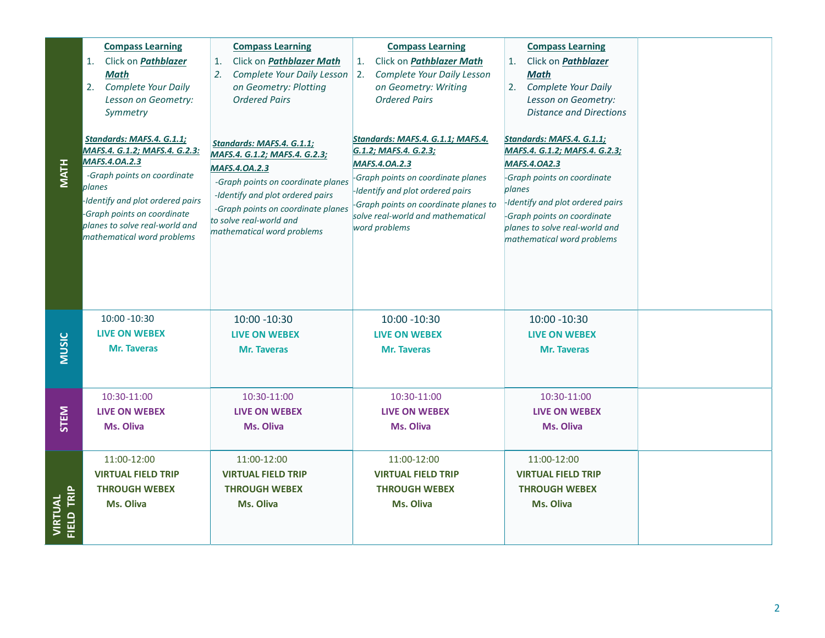| <b>MATH</b>           | <b>Compass Learning</b><br>Click on Pathblazer<br>1.<br><b>Math</b><br>Complete Your Daily<br>2.<br>Lesson on Geometry:<br>Symmetry<br>Standards: MAFS.4. G.1.1;<br>MAFS.4. G.1.2; MAFS.4. G.2.3:<br><b>MAFS.4.0A.2.3</b><br>-Graph points on coordinate<br>planes<br>-Identify and plot ordered pairs<br>-Graph points on coordinate<br>planes to solve real-world and<br>mathematical word problems | <b>Compass Learning</b><br>Click on <b>Pathblazer Math</b><br>1.<br>2.<br>Complete Your Daily Lesson<br>on Geometry: Plotting<br><b>Ordered Pairs</b><br>Standards: MAFS.4. G.1.1;<br>MAFS.4. G.1.2; MAFS.4. G.2.3;<br>MAFS.4.0A.2.3<br>-Graph points on coordinate planes<br>-Identify and plot ordered pairs<br>-Graph points on coordinate planes<br>to solve real-world and<br>mathematical word problems | <b>Compass Learning</b><br>Click on <i>Pathblazer Math</i><br>1.<br>Complete Your Daily Lesson<br>2.<br>on Geometry: Writing<br><b>Ordered Pairs</b><br>Standards: MAFS.4. G.1.1; MAFS.4.<br>G.1.2; MAFS.4. G.2.3;<br>MAFS.4.0A.2.3<br>-Graph points on coordinate planes<br>-Identify and plot ordered pairs<br>-Graph points on coordinate planes to<br>solve real-world and mathematical<br>word problems | <b>Compass Learning</b><br>Click on Pathblazer<br>1.<br><b>Math</b><br>Complete Your Daily<br>2.<br>Lesson on Geometry:<br><b>Distance and Directions</b><br>Standards: MAFS.4. G.1.1;<br>MAFS.4. G.1.2; MAFS.4. G.2.3;<br><b>MAFS.4.0A2.3</b><br>-Graph points on coordinate<br>planes<br>-Identify and plot ordered pairs<br>-Graph points on coordinate<br>planes to solve real-world and<br>mathematical word problems |                |
|-----------------------|-------------------------------------------------------------------------------------------------------------------------------------------------------------------------------------------------------------------------------------------------------------------------------------------------------------------------------------------------------------------------------------------------------|---------------------------------------------------------------------------------------------------------------------------------------------------------------------------------------------------------------------------------------------------------------------------------------------------------------------------------------------------------------------------------------------------------------|--------------------------------------------------------------------------------------------------------------------------------------------------------------------------------------------------------------------------------------------------------------------------------------------------------------------------------------------------------------------------------------------------------------|----------------------------------------------------------------------------------------------------------------------------------------------------------------------------------------------------------------------------------------------------------------------------------------------------------------------------------------------------------------------------------------------------------------------------|----------------|
| <b>MUSIC</b>          | 10:00 -10:30<br><b>LIVE ON WEBEX</b><br><b>Mr. Taveras</b>                                                                                                                                                                                                                                                                                                                                            | 10:00 -10:30<br>LIVE ON WEBEX<br><b>Mr. Taveras</b>                                                                                                                                                                                                                                                                                                                                                           | 10:00 -10:30<br><b>LIVE ON WEBEX</b><br><b>Mr. Taveras</b>                                                                                                                                                                                                                                                                                                                                                   | 10:00 -10:30<br>LIVE ON WEBEX<br><b>Mr. Taveras</b>                                                                                                                                                                                                                                                                                                                                                                        |                |
| STEM                  | 10:30-11:00<br><b>LIVE ON WEBEX</b><br>Ms. Oliva                                                                                                                                                                                                                                                                                                                                                      | 10:30-11:00<br><b>LIVE ON WEBEX</b><br><b>Ms. Oliva</b>                                                                                                                                                                                                                                                                                                                                                       | 10:30-11:00<br><b>LIVE ON WEBEX</b><br>Ms. Oliva                                                                                                                                                                                                                                                                                                                                                             | 10:30-11:00<br><b>LIVE ON WEBEX</b><br><b>Ms. Oliva</b>                                                                                                                                                                                                                                                                                                                                                                    |                |
| VIRTUAL<br>FIELD TRIP | 11:00-12:00<br><b>VIRTUAL FIELD TRIP</b><br><b>THROUGH WEBEX</b><br>Ms. Oliva                                                                                                                                                                                                                                                                                                                         | 11:00-12:00<br><b>VIRTUAL FIELD TRIP</b><br><b>THROUGH WEBEX</b><br>Ms. Oliva                                                                                                                                                                                                                                                                                                                                 | 11:00-12:00<br><b>VIRTUAL FIELD TRIP</b><br><b>THROUGH WEBEX</b><br>Ms. Oliva                                                                                                                                                                                                                                                                                                                                | 11:00-12:00<br><b>VIRTUAL FIELD TRIP</b><br><b>THROUGH WEBEX</b><br>Ms. Oliva                                                                                                                                                                                                                                                                                                                                              |                |
|                       |                                                                                                                                                                                                                                                                                                                                                                                                       |                                                                                                                                                                                                                                                                                                                                                                                                               |                                                                                                                                                                                                                                                                                                                                                                                                              |                                                                                                                                                                                                                                                                                                                                                                                                                            | $\overline{2}$ |